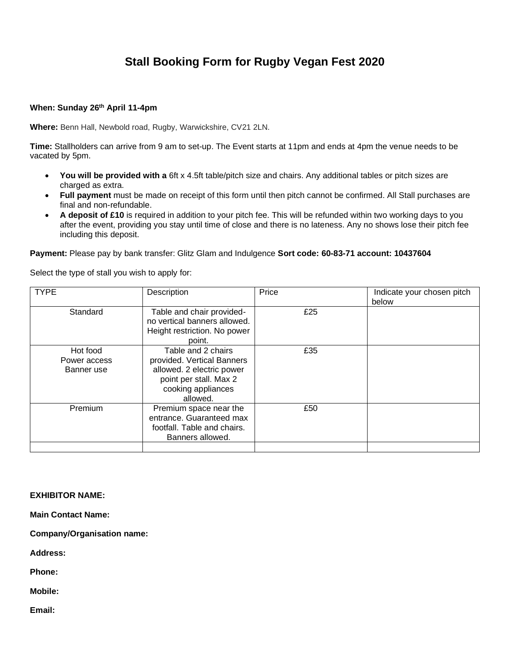## **Stall Booking Form for Rugby Vegan Fest 2020**

## **When: Sunday 26th April 11-4pm**

**Where:** Benn Hall, Newbold road, Rugby, Warwickshire, CV21 2LN.

**Time:** Stallholders can arrive from 9 am to set-up. The Event starts at 11pm and ends at 4pm the venue needs to be vacated by 5pm.

- **You will be provided with a** 6ft x 4.5ft table/pitch size and chairs. Any additional tables or pitch sizes are charged as extra.
- **Full payment** must be made on receipt of this form until then pitch cannot be confirmed. All Stall purchases are final and non-refundable.
- **A deposit of £10** is required in addition to your pitch fee. This will be refunded within two working days to you after the event, providing you stay until time of close and there is no lateness. Any no shows lose their pitch fee including this deposit.

**Payment:** Please pay by bank transfer: Glitz Glam and Indulgence **Sort code: 60-83-71 account: 10437604**

Select the type of stall you wish to apply for:

| <b>TYPE</b>                            | Description                                                                                                                               | Price | Indicate your chosen pitch<br>below |
|----------------------------------------|-------------------------------------------------------------------------------------------------------------------------------------------|-------|-------------------------------------|
| Standard                               | Table and chair provided-<br>no vertical banners allowed.<br>Height restriction. No power<br>point.                                       | £25   |                                     |
| Hot food<br>Power access<br>Banner use | Table and 2 chairs<br>provided. Vertical Banners<br>allowed. 2 electric power<br>point per stall. Max 2<br>cooking appliances<br>allowed. | £35   |                                     |
| Premium                                | Premium space near the<br>entrance. Guaranteed max<br>footfall. Table and chairs.<br>Banners allowed.                                     | £50   |                                     |
|                                        |                                                                                                                                           |       |                                     |

## **EXHIBITOR NAME:**

**Main Contact Name:** 

**Company/Organisation name:** 

**Address:** 

**Phone:** 

**Mobile:** 

**Email:**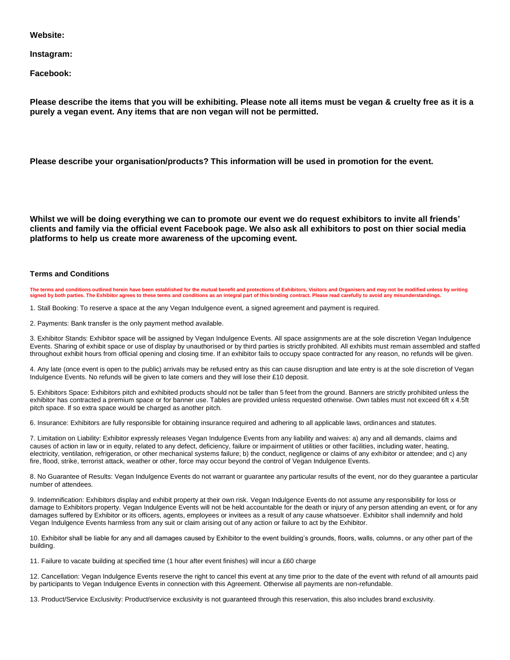**Website:** 

**Instagram:**

**Facebook:**

**Please describe the items that you will be exhibiting. Please note all items must be vegan & cruelty free as it is a purely a vegan event. Any items that are non vegan will not be permitted.**

**Please describe your organisation/products? This information will be used in promotion for the event.**

**Whilst we will be doing everything we can to promote our event we do request exhibitors to invite all friends' clients and family via the official event Facebook page. We also ask all exhibitors to post on thier social media platforms to help us create more awareness of the upcoming event.**

## **Terms and Conditions**

**The terms and conditions outlined herein have been established for the mutual benefit and protections of Exhibitors, Visitors and Organisers and may not be modified unless by writing**  signed by both parties. The Exhibitor agrees to these terms and conditions as an integral part of this binding contract. Please read carefully to avoid any misunderstandings.

1. Stall Booking: To reserve a space at the any Vegan Indulgence event, a signed agreement and payment is required.

2. Payments: Bank transfer is the only payment method available.

3. Exhibitor Stands: Exhibitor space will be assigned by Vegan Indulgence Events. All space assignments are at the sole discretion Vegan Indulgence Events. Sharing of exhibit space or use of display by unauthorised or by third parties is strictly prohibited. All exhibits must remain assembled and staffed throughout exhibit hours from official opening and closing time. If an exhibitor fails to occupy space contracted for any reason, no refunds will be given.

4. Any late (once event is open to the public) arrivals may be refused entry as this can cause disruption and late entry is at the sole discretion of Vegan Indulgence Events. No refunds will be given to late comers and they will lose their £10 deposit.

5. Exhibitors Space: Exhibitors pitch and exhibited products should not be taller than 5 feet from the ground. Banners are strictly prohibited unless the exhibitor has contracted a premium space or for banner use. Tables are provided unless requested otherwise. Own tables must not exceed 6ft x 4.5ft pitch space. If so extra space would be charged as another pitch.

6. Insurance: Exhibitors are fully responsible for obtaining insurance required and adhering to all applicable laws, ordinances and statutes.

7. Limitation on Liability: Exhibitor expressly releases Vegan Indulgence Events from any liability and waives: a) any and all demands, claims and causes of action in law or in equity, related to any defect, deficiency, failure or impairment of utilities or other facilities, including water, heating, electricity, ventilation, refrigeration, or other mechanical systems failure; b) the conduct, negligence or claims of any exhibitor or attendee; and c) any fire, flood, strike, terrorist attack, weather or other, force may occur beyond the control of Vegan Indulgence Events.

8. No Guarantee of Results: Vegan Indulgence Events do not warrant or guarantee any particular results of the event, nor do they guarantee a particular number of attendees.

9. Indemnification: Exhibitors display and exhibit property at their own risk. Vegan Indulgence Events do not assume any responsibility for loss or damage to Exhibitors property. Vegan Indulgence Events will not be held accountable for the death or injury of any person attending an event, or for any damages suffered by Exhibitor or its officers, agents, employees or invitees as a result of any cause whatsoever. Exhibitor shall indemnify and hold Vegan Indulgence Events harmless from any suit or claim arising out of any action or failure to act by the Exhibitor.

10. Exhibitor shall be liable for any and all damages caused by Exhibitor to the event building's grounds, floors, walls, columns, or any other part of the building.

11. Failure to vacate building at specified time (1 hour after event finishes) will incur a £60 charge

12. Cancellation: Vegan Indulgence Events reserve the right to cancel this event at any time prior to the date of the event with refund of all amounts paid by participants to Vegan Indulgence Events in connection with this Agreement. Otherwise all payments are non-refundable.

13. Product/Service Exclusivity: Product/service exclusivity is not guaranteed through this reservation, this also includes brand exclusivity.